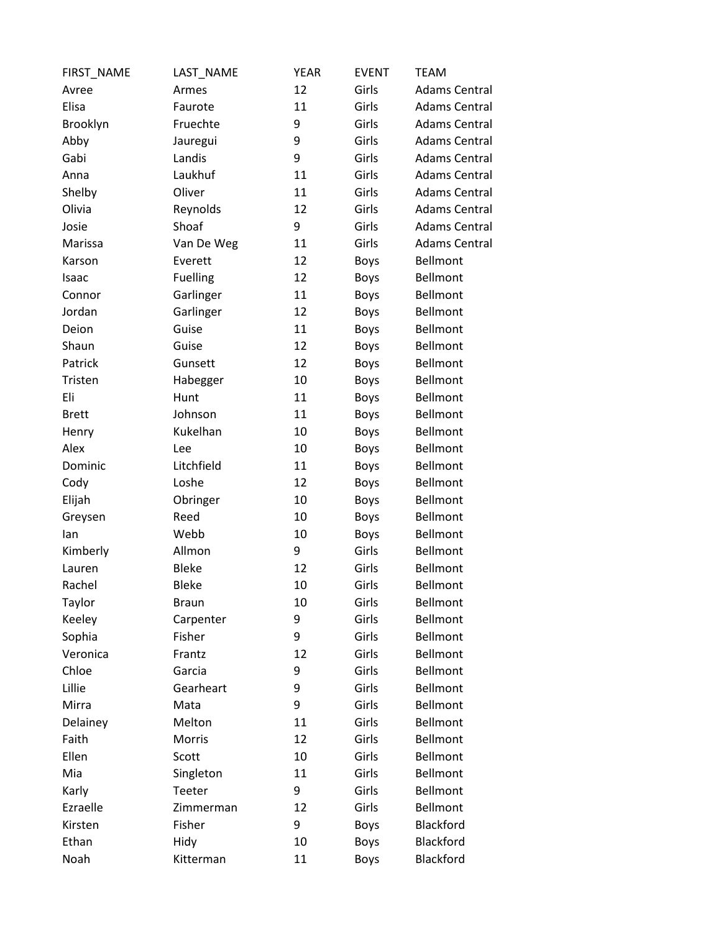| FIRST_NAME   | LAST_NAME       | <b>YEAR</b> | <b>EVENT</b> | <b>TEAM</b>          |
|--------------|-----------------|-------------|--------------|----------------------|
| Avree        | Armes           | 12          | Girls        | <b>Adams Central</b> |
| Elisa        | Faurote         | 11          | Girls        | <b>Adams Central</b> |
| Brooklyn     | Fruechte        | 9           | Girls        | <b>Adams Central</b> |
| Abby         | Jauregui        | 9           | Girls        | <b>Adams Central</b> |
| Gabi         | Landis          | 9           | Girls        | <b>Adams Central</b> |
| Anna         | Laukhuf         | 11          | Girls        | <b>Adams Central</b> |
| Shelby       | Oliver          | 11          | Girls        | <b>Adams Central</b> |
| Olivia       | Reynolds        | 12          | Girls        | <b>Adams Central</b> |
| Josie        | Shoaf           | 9           | Girls        | <b>Adams Central</b> |
| Marissa      | Van De Weg      | 11          | Girls        | <b>Adams Central</b> |
| Karson       | Everett         | 12          | <b>Boys</b>  | Bellmont             |
| Isaac        | <b>Fuelling</b> | 12          | <b>Boys</b>  | <b>Bellmont</b>      |
| Connor       | Garlinger       | 11          | <b>Boys</b>  | Bellmont             |
| Jordan       | Garlinger       | 12          | <b>Boys</b>  | <b>Bellmont</b>      |
| Deion        | Guise           | 11          | <b>Boys</b>  | <b>Bellmont</b>      |
| Shaun        | Guise           | 12          | <b>Boys</b>  | Bellmont             |
| Patrick      | Gunsett         | 12          | <b>Boys</b>  | Bellmont             |
| Tristen      | Habegger        | 10          | <b>Boys</b>  | <b>Bellmont</b>      |
| Eli          | Hunt            | 11          | <b>Boys</b>  | <b>Bellmont</b>      |
| <b>Brett</b> | Johnson         | 11          | <b>Boys</b>  | <b>Bellmont</b>      |
| Henry        | Kukelhan        | 10          | <b>Boys</b>  | <b>Bellmont</b>      |
| Alex         | Lee             | 10          | <b>Boys</b>  | Bellmont             |
| Dominic      | Litchfield      | 11          | <b>Boys</b>  | Bellmont             |
| Cody         | Loshe           | 12          | <b>Boys</b>  | <b>Bellmont</b>      |
| Elijah       | Obringer        | 10          | <b>Boys</b>  | <b>Bellmont</b>      |
| Greysen      | Reed            | 10          | <b>Boys</b>  | <b>Bellmont</b>      |
| lan          | Webb            | 10          | <b>Boys</b>  | Bellmont             |
| Kimberly     | Allmon          | 9           | Girls        | <b>Bellmont</b>      |
| Lauren       | <b>Bleke</b>    | 12          | Girls        | Bellmont             |
| Rachel       | <b>Bleke</b>    | 10          | Girls        | Bellmont             |
| Taylor       | <b>Braun</b>    | 10          | Girls        | Bellmont             |
| Keeley       | Carpenter       | 9           | Girls        | Bellmont             |
| Sophia       | Fisher          | 9           | Girls        | Bellmont             |
| Veronica     | Frantz          | 12          | Girls        | Bellmont             |
| Chloe        | Garcia          | 9           | Girls        | Bellmont             |
| Lillie       | Gearheart       | 9           | Girls        | Bellmont             |
| Mirra        | Mata            | 9           | Girls        | <b>Bellmont</b>      |
| Delainey     | Melton          | 11          | Girls        | Bellmont             |
| Faith        | Morris          | 12          | Girls        | Bellmont             |
| Ellen        | Scott           | 10          | Girls        | Bellmont             |
| Mia          | Singleton       | 11          | Girls        | Bellmont             |
| Karly        | Teeter          | 9           | Girls        | Bellmont             |
| Ezraelle     | Zimmerman       | 12          | Girls        | Bellmont             |
| Kirsten      | Fisher          | 9           | <b>Boys</b>  | Blackford            |
| Ethan        | Hidy            | 10          | <b>Boys</b>  | Blackford            |
| Noah         | Kitterman       | 11          | <b>Boys</b>  | Blackford            |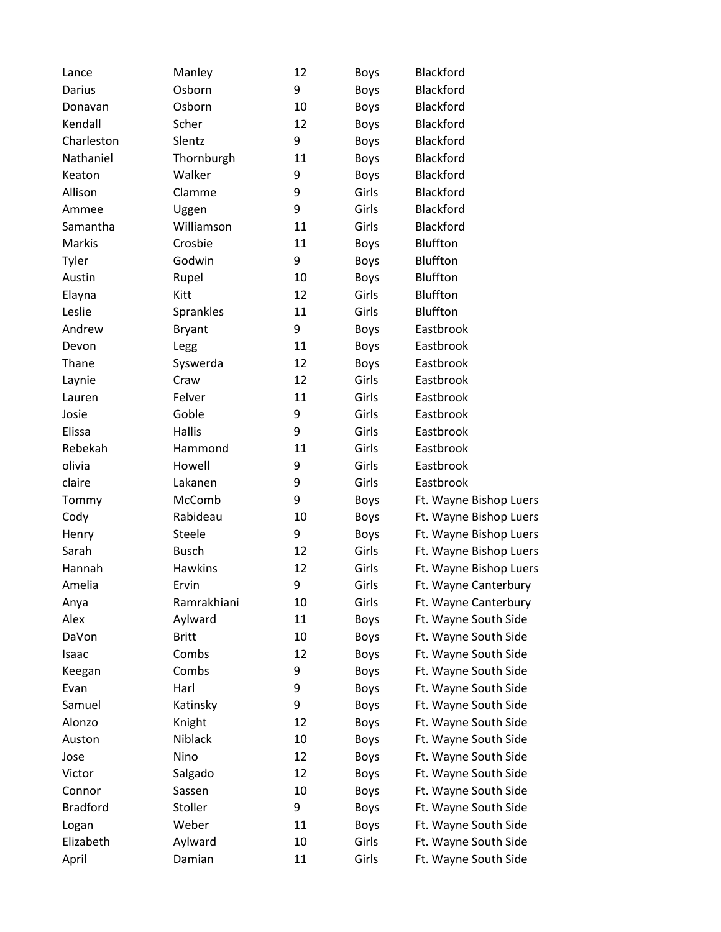| Lance           | Manley         | 12 | <b>Boys</b> | Blackford              |
|-----------------|----------------|----|-------------|------------------------|
| Darius          | Osborn         | 9  | Boys        | Blackford              |
| Donavan         | Osborn         | 10 | Boys        | Blackford              |
| Kendall         | Scher          | 12 | <b>Boys</b> | Blackford              |
| Charleston      | Slentz         | 9  | <b>Boys</b> | <b>Blackford</b>       |
| Nathaniel       | Thornburgh     | 11 | <b>Boys</b> | Blackford              |
| Keaton          | Walker         | 9  | <b>Boys</b> | Blackford              |
| Allison         | Clamme         | 9  | Girls       | Blackford              |
| Ammee           | Uggen          | 9  | Girls       | Blackford              |
| Samantha        | Williamson     | 11 | Girls       | <b>Blackford</b>       |
| Markis          | Crosbie        | 11 | <b>Boys</b> | <b>Bluffton</b>        |
| Tyler           | Godwin         | 9  | <b>Boys</b> | Bluffton               |
| Austin          | Rupel          | 10 | <b>Boys</b> | <b>Bluffton</b>        |
| Elayna          | Kitt           | 12 | Girls       | <b>Bluffton</b>        |
| Leslie          | Sprankles      | 11 | Girls       | <b>Bluffton</b>        |
| Andrew          | <b>Bryant</b>  | 9  | <b>Boys</b> | Eastbrook              |
| Devon           | Legg           | 11 | <b>Boys</b> | Eastbrook              |
| Thane           | Syswerda       | 12 | <b>Boys</b> | Eastbrook              |
| Laynie          | Craw           | 12 | Girls       | Eastbrook              |
| Lauren          | Felver         | 11 | Girls       | Eastbrook              |
| Josie           | Goble          | 9  | Girls       | Eastbrook              |
| Elissa          | Hallis         | 9  | Girls       | Eastbrook              |
| Rebekah         | Hammond        | 11 | Girls       | Eastbrook              |
| olivia          | Howell         | 9  | Girls       | Eastbrook              |
| claire          | Lakanen        | 9  | Girls       | Eastbrook              |
| Tommy           | McComb         | 9  | <b>Boys</b> | Ft. Wayne Bishop Luers |
| Cody            | Rabideau       | 10 | <b>Boys</b> | Ft. Wayne Bishop Luers |
| Henry           | <b>Steele</b>  | 9  | <b>Boys</b> | Ft. Wayne Bishop Luers |
| Sarah           | <b>Busch</b>   | 12 | Girls       | Ft. Wayne Bishop Luers |
| Hannah          | <b>Hawkins</b> | 12 | Girls       | Ft. Wayne Bishop Luers |
| Amelia          | Ervin          | 9  | Girls       | Ft. Wayne Canterbury   |
| Anya            | Ramrakhiani    | 10 | Girls       | Ft. Wayne Canterbury   |
| Alex            | Aylward        | 11 | <b>Boys</b> | Ft. Wayne South Side   |
| DaVon           | <b>Britt</b>   | 10 | <b>Boys</b> | Ft. Wayne South Side   |
| Isaac           | Combs          | 12 | <b>Boys</b> | Ft. Wayne South Side   |
| Keegan          | Combs          | 9  | <b>Boys</b> | Ft. Wayne South Side   |
| Evan            | Harl           | 9  | <b>Boys</b> | Ft. Wayne South Side   |
| Samuel          | Katinsky       | 9  | <b>Boys</b> | Ft. Wayne South Side   |
| Alonzo          | Knight         | 12 | <b>Boys</b> | Ft. Wayne South Side   |
| Auston          | Niblack        | 10 | <b>Boys</b> | Ft. Wayne South Side   |
| Jose            | Nino           | 12 | <b>Boys</b> | Ft. Wayne South Side   |
| Victor          | Salgado        | 12 | <b>Boys</b> | Ft. Wayne South Side   |
| Connor          | Sassen         | 10 | <b>Boys</b> | Ft. Wayne South Side   |
| <b>Bradford</b> | Stoller        | 9  | <b>Boys</b> | Ft. Wayne South Side   |
| Logan           | Weber          | 11 | <b>Boys</b> | Ft. Wayne South Side   |
| Elizabeth       | Aylward        | 10 | Girls       | Ft. Wayne South Side   |
| April           | Damian         | 11 | Girls       | Ft. Wayne South Side   |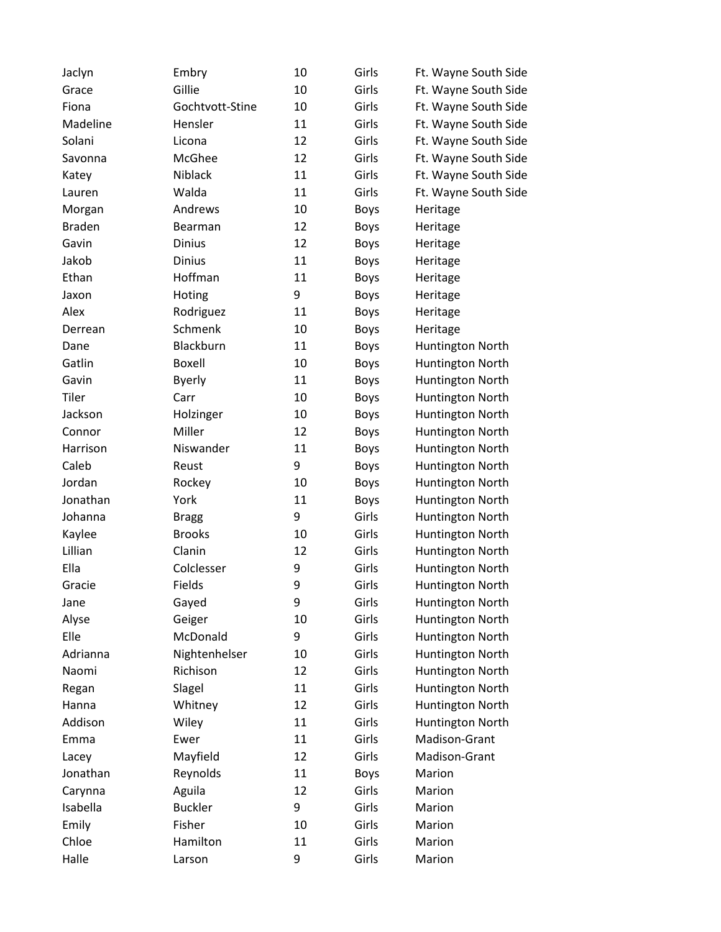| Jaclyn        | Embry           | 10 | Girls       | Ft. Wayne South Side |
|---------------|-----------------|----|-------------|----------------------|
| Grace         | Gillie          | 10 | Girls       | Ft. Wayne South Side |
| Fiona         | Gochtvott-Stine | 10 | Girls       | Ft. Wayne South Side |
| Madeline      | Hensler         | 11 | Girls       | Ft. Wayne South Side |
| Solani        | Licona          | 12 | Girls       | Ft. Wayne South Side |
| Savonna       | McGhee          | 12 | Girls       | Ft. Wayne South Side |
| Katey         | Niblack         | 11 | Girls       | Ft. Wayne South Side |
| Lauren        | Walda           | 11 | Girls       | Ft. Wayne South Side |
| Morgan        | Andrews         | 10 | <b>Boys</b> | Heritage             |
| <b>Braden</b> | Bearman         | 12 | <b>Boys</b> | Heritage             |
| Gavin         | <b>Dinius</b>   | 12 | <b>Boys</b> | Heritage             |
| Jakob         | <b>Dinius</b>   | 11 | <b>Boys</b> | Heritage             |
| Ethan         | Hoffman         | 11 | <b>Boys</b> | Heritage             |
| Jaxon         | Hoting          | 9  | <b>Boys</b> | Heritage             |
| Alex          | Rodriguez       | 11 | <b>Boys</b> | Heritage             |
| Derrean       | Schmenk         | 10 | <b>Boys</b> | Heritage             |
| Dane          | Blackburn       | 11 | <b>Boys</b> | Huntington North     |
| Gatlin        | Boxell          | 10 | <b>Boys</b> | Huntington North     |
| Gavin         | <b>Byerly</b>   | 11 | <b>Boys</b> | Huntington North     |
| Tiler         | Carr            | 10 | <b>Boys</b> | Huntington North     |
| Jackson       | Holzinger       | 10 | <b>Boys</b> | Huntington North     |
| Connor        | Miller          | 12 | <b>Boys</b> | Huntington North     |
| Harrison      | Niswander       | 11 | <b>Boys</b> | Huntington North     |
| Caleb         | Reust           | 9  | <b>Boys</b> | Huntington North     |
| Jordan        | Rockey          | 10 | <b>Boys</b> | Huntington North     |
| Jonathan      | York            | 11 | <b>Boys</b> | Huntington North     |
| Johanna       | <b>Bragg</b>    | 9  | Girls       | Huntington North     |
| Kaylee        | <b>Brooks</b>   | 10 | Girls       | Huntington North     |
| Lillian       | Clanin          | 12 | Girls       | Huntington North     |
| Ella          | Colclesser      | 9  | Girls       | Huntington North     |
| Gracie        | Fields          | 9  | Girls       | Huntington North     |
| Jane          | Gayed           | 9  | Girls       | Huntington North     |
| Alyse         | Geiger          | 10 | Girls       | Huntington North     |
| Elle          | McDonald        | 9  | Girls       | Huntington North     |
| Adrianna      | Nightenhelser   | 10 | Girls       | Huntington North     |
| Naomi         | Richison        | 12 | Girls       | Huntington North     |
| Regan         | Slagel          | 11 | Girls       | Huntington North     |
| Hanna         | Whitney         | 12 | Girls       | Huntington North     |
| Addison       | Wiley           | 11 | Girls       | Huntington North     |
| Emma          | Ewer            | 11 | Girls       | Madison-Grant        |
| Lacey         | Mayfield        | 12 | Girls       | Madison-Grant        |
| Jonathan      | Reynolds        | 11 | <b>Boys</b> | Marion               |
| Carynna       | Aguila          | 12 | Girls       | Marion               |
| Isabella      | <b>Buckler</b>  | 9  | Girls       | Marion               |
| Emily         | Fisher          | 10 | Girls       | Marion               |
| Chloe         | Hamilton        | 11 | Girls       | Marion               |
| Halle         | Larson          | 9  | Girls       | Marion               |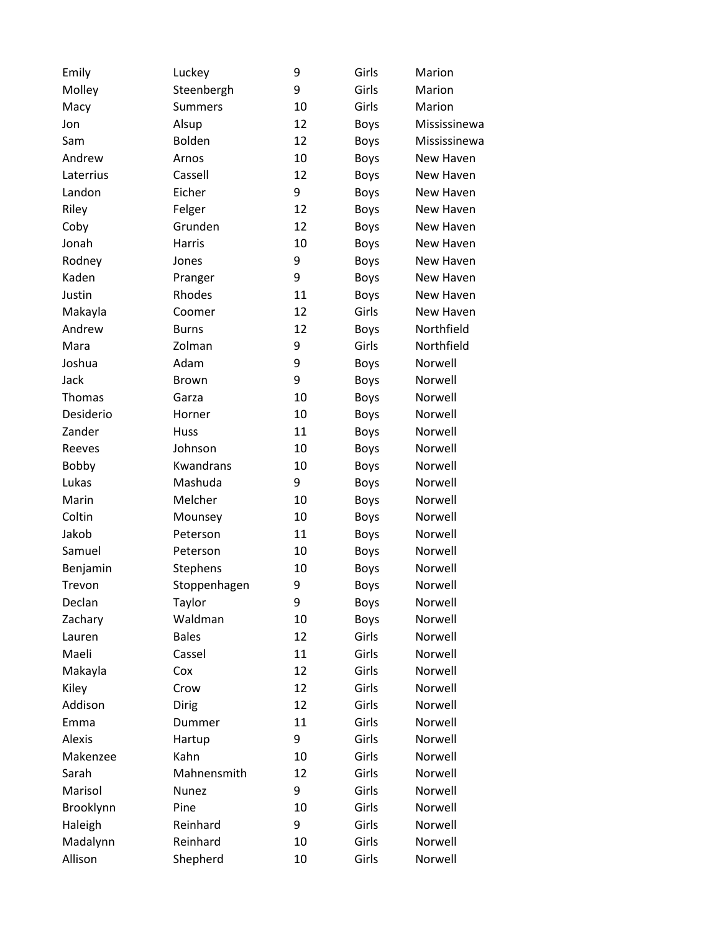| Emily         | Luckey         | 9  | Girls       | Marion       |
|---------------|----------------|----|-------------|--------------|
| Molley        | Steenbergh     | 9  | Girls       | Marion       |
| Macy          | <b>Summers</b> | 10 | Girls       | Marion       |
| Jon           | Alsup          | 12 | <b>Boys</b> | Mississinewa |
| Sam           | Bolden         | 12 | <b>Boys</b> | Mississinewa |
| Andrew        | Arnos          | 10 | <b>Boys</b> | New Haven    |
| Laterrius     | Cassell        | 12 | <b>Boys</b> | New Haven    |
| Landon        | Eicher         | 9  | <b>Boys</b> | New Haven    |
| Riley         | Felger         | 12 | <b>Boys</b> | New Haven    |
| Coby          | Grunden        | 12 | <b>Boys</b> | New Haven    |
| Jonah         | Harris         | 10 | <b>Boys</b> | New Haven    |
| Rodney        | Jones          | 9  | <b>Boys</b> | New Haven    |
| Kaden         | Pranger        | 9  | <b>Boys</b> | New Haven    |
| Justin        | Rhodes         | 11 | <b>Boys</b> | New Haven    |
| Makayla       | Coomer         | 12 | Girls       | New Haven    |
| Andrew        | <b>Burns</b>   | 12 | <b>Boys</b> | Northfield   |
| Mara          | Zolman         | 9  | Girls       | Northfield   |
| Joshua        | Adam           | 9  | <b>Boys</b> | Norwell      |
| Jack          | <b>Brown</b>   | 9  | <b>Boys</b> | Norwell      |
| Thomas        | Garza          | 10 | <b>Boys</b> | Norwell      |
| Desiderio     | Horner         | 10 | <b>Boys</b> | Norwell      |
| Zander        | Huss           | 11 | <b>Boys</b> | Norwell      |
| Reeves        | Johnson        | 10 | <b>Boys</b> | Norwell      |
| <b>Bobby</b>  | Kwandrans      | 10 | <b>Boys</b> | Norwell      |
| Lukas         | Mashuda        | 9  | <b>Boys</b> | Norwell      |
| Marin         | Melcher        | 10 | <b>Boys</b> | Norwell      |
| Coltin        | Mounsey        | 10 | <b>Boys</b> | Norwell      |
| Jakob         | Peterson       | 11 | Boys        | Norwell      |
| Samuel        | Peterson       | 10 | <b>Boys</b> | Norwell      |
| Benjamin      | Stephens       | 10 | <b>Boys</b> | Norwell      |
| Trevon        | Stoppenhagen   | 9  | <b>Boys</b> | Norwell      |
| Declan        | Taylor         | 9  | Boys        | Norwell      |
| Zachary       | Waldman        | 10 | <b>Boys</b> | Norwell      |
| Lauren        | <b>Bales</b>   | 12 | Girls       | Norwell      |
| Maeli         | Cassel         | 11 | Girls       | Norwell      |
| Makayla       | Cox            | 12 | Girls       | Norwell      |
| Kiley         | Crow           | 12 | Girls       | Norwell      |
| Addison       | <b>Dirig</b>   | 12 | Girls       | Norwell      |
| Emma          | Dummer         | 11 | Girls       | Norwell      |
| <b>Alexis</b> | Hartup         | 9  | Girls       | Norwell      |
| Makenzee      | Kahn           | 10 | Girls       | Norwell      |
| Sarah         | Mahnensmith    | 12 | Girls       | Norwell      |
| Marisol       | Nunez          | 9  | Girls       | Norwell      |
| Brooklynn     | Pine           | 10 | Girls       | Norwell      |
| Haleigh       | Reinhard       | 9  | Girls       | Norwell      |
| Madalynn      | Reinhard       | 10 | Girls       | Norwell      |
| Allison       | Shepherd       | 10 | Girls       | Norwell      |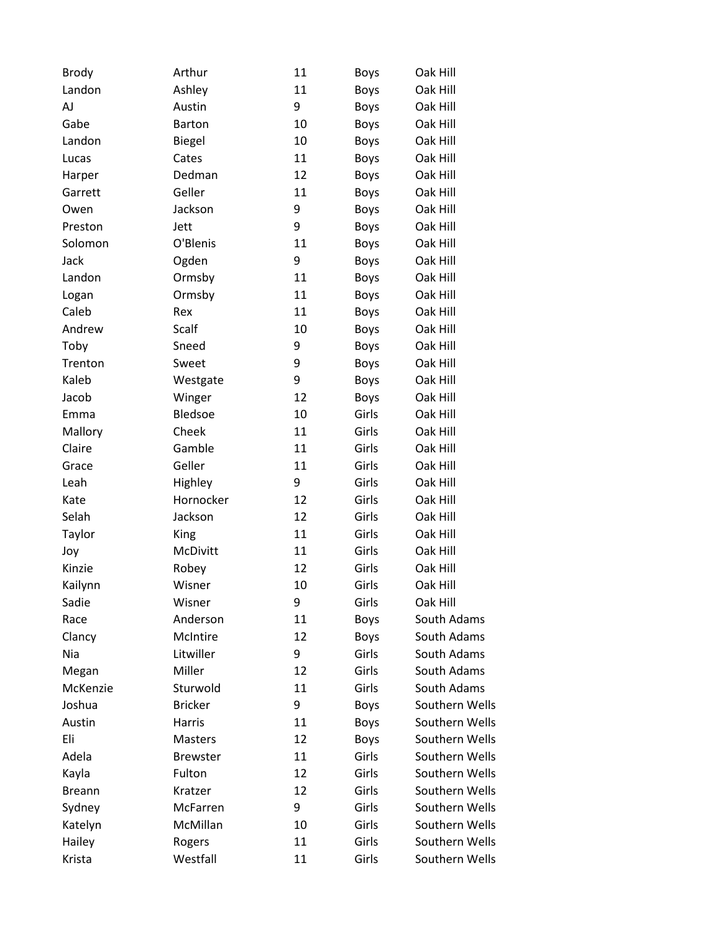| <b>Brody</b>  | Arthur          | 11 | <b>Boys</b> | Oak Hill       |
|---------------|-----------------|----|-------------|----------------|
| Landon        | Ashley          | 11 | <b>Boys</b> | Oak Hill       |
| AJ            | Austin          | 9  | <b>Boys</b> | Oak Hill       |
| Gabe          | Barton          | 10 | <b>Boys</b> | Oak Hill       |
| Landon        | <b>Biegel</b>   | 10 | <b>Boys</b> | Oak Hill       |
| Lucas         | Cates           | 11 | <b>Boys</b> | Oak Hill       |
| Harper        | Dedman          | 12 | <b>Boys</b> | Oak Hill       |
| Garrett       | Geller          | 11 | <b>Boys</b> | Oak Hill       |
| Owen          | Jackson         | 9  | <b>Boys</b> | Oak Hill       |
| Preston       | Jett            | 9  | <b>Boys</b> | Oak Hill       |
| Solomon       | O'Blenis        | 11 | <b>Boys</b> | Oak Hill       |
| Jack          | Ogden           | 9  | <b>Boys</b> | Oak Hill       |
| Landon        | Ormsby          | 11 | <b>Boys</b> | Oak Hill       |
| Logan         | Ormsby          | 11 | <b>Boys</b> | Oak Hill       |
| Caleb         | Rex             | 11 | <b>Boys</b> | Oak Hill       |
| Andrew        | Scalf           | 10 | <b>Boys</b> | Oak Hill       |
| Toby          | Sneed           | 9  | <b>Boys</b> | Oak Hill       |
| Trenton       | Sweet           | 9  | <b>Boys</b> | Oak Hill       |
| Kaleb         | Westgate        | 9  | <b>Boys</b> | Oak Hill       |
| Jacob         | Winger          | 12 | <b>Boys</b> | Oak Hill       |
| Emma          | Bledsoe         | 10 | Girls       | Oak Hill       |
| Mallory       | Cheek           | 11 | Girls       | Oak Hill       |
| Claire        | Gamble          | 11 | Girls       | Oak Hill       |
| Grace         | Geller          | 11 | Girls       | Oak Hill       |
| Leah          | Highley         | 9  | Girls       | Oak Hill       |
| Kate          | Hornocker       | 12 | Girls       | Oak Hill       |
| Selah         | Jackson         | 12 | Girls       | Oak Hill       |
| Taylor        | King            | 11 | Girls       | Oak Hill       |
| Joy           | McDivitt        | 11 | Girls       | Oak Hill       |
| Kinzie        | Robey           | 12 | Girls       | Oak Hill       |
| Kailynn       | Wisner          | 10 | Girls       | Oak Hill       |
| Sadie         | Wisner          | 9  | Girls       | Oak Hill       |
| Race          | Anderson        | 11 | <b>Boys</b> | South Adams    |
| Clancy        | McIntire        | 12 | Boys        | South Adams    |
| Nia           | Litwiller       | 9  | Girls       | South Adams    |
| Megan         | Miller          | 12 | Girls       | South Adams    |
| McKenzie      | Sturwold        | 11 | Girls       | South Adams    |
| Joshua        | <b>Bricker</b>  | 9  | <b>Boys</b> | Southern Wells |
| Austin        | Harris          | 11 | <b>Boys</b> | Southern Wells |
| Eli           | Masters         | 12 | <b>Boys</b> | Southern Wells |
| Adela         | <b>Brewster</b> | 11 | Girls       | Southern Wells |
| Kayla         | Fulton          | 12 | Girls       | Southern Wells |
| <b>Breann</b> | Kratzer         | 12 | Girls       | Southern Wells |
| Sydney        | McFarren        | 9  | Girls       | Southern Wells |
| Katelyn       | McMillan        | 10 | Girls       | Southern Wells |
| Hailey        | Rogers          | 11 | Girls       | Southern Wells |
| Krista        | Westfall        | 11 | Girls       | Southern Wells |